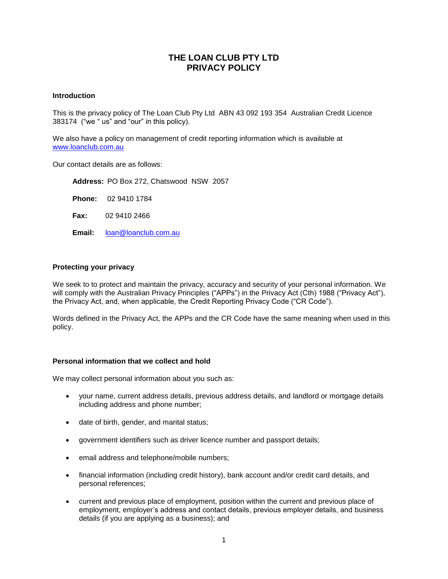# **THE LOAN CLUB PTY LTD PRIVACY POLICY**

#### **Introduction**

This is the privacy policy of The Loan Club Pty Ltd ABN 43 092 193 354 Australian Credit Licence 383174 ("we " us" and "our" in this policy).

We also have a policy on management of credit reporting information which is available at [www.loanclub.com.au](http://www.loanclub.com.au/) 

Our contact details are as follows:

**Address:** PO Box 272, Chatswood NSW 2057 **Phone:** 02 9410 1784 **Fax:** 02 9410 2466 **Email:** [loan@loanclub.com.au](mailto:loan@loanclub.com.au)

# **Protecting your privacy**

We seek to to protect and maintain the privacy, accuracy and security of your personal information. We will comply with the Australian Privacy Principles ("APPs") in the Privacy Act (Cth) 1988 ("Privacy Act"), the Privacy Act, and, when applicable, the Credit Reporting Privacy Code ("CR Code").

Words defined in the Privacy Act, the APPs and the CR Code have the same meaning when used in this policy.

# **Personal information that we collect and hold**

We may collect personal information about you such as:

- your name, current address details, previous address details, and landlord or mortgage details including address and phone number;
- date of birth, gender, and marital status;
- government identifiers such as driver licence number and passport details;
- email address and telephone/mobile numbers;
- financial information (including credit history), bank account and/or credit card details, and personal references;
- current and previous place of employment, position within the current and previous place of employment, employer's address and contact details, previous employer details, and business details (if you are applying as a business); and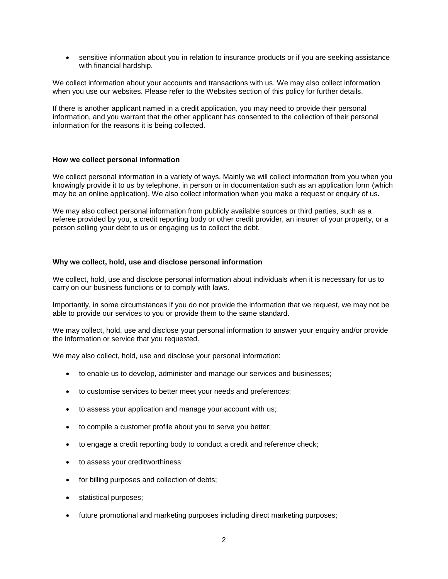• sensitive information about you in relation to insurance products or if you are seeking assistance with financial hardship.

We collect information about your accounts and transactions with us. We may also collect information when you use our websites. Please refer to the Websites section of this policy for further details.

If there is another applicant named in a credit application, you may need to provide their personal information, and you warrant that the other applicant has consented to the collection of their personal information for the reasons it is being collected.

#### **How we collect personal information**

We collect personal information in a variety of ways. Mainly we will collect information from you when you knowingly provide it to us by telephone, in person or in documentation such as an application form (which may be an online application). We also collect information when you make a request or enquiry of us.

We may also collect personal information from publicly available sources or third parties, such as a referee provided by you, a credit reporting body or other credit provider, an insurer of your property, or a person selling your debt to us or engaging us to collect the debt.

#### **Why we collect, hold, use and disclose personal information**

We collect, hold, use and disclose personal information about individuals when it is necessary for us to carry on our business functions or to comply with laws.

Importantly, in some circumstances if you do not provide the information that we request, we may not be able to provide our services to you or provide them to the same standard.

We may collect, hold, use and disclose your personal information to answer your enquiry and/or provide the information or service that you requested.

We may also collect, hold, use and disclose your personal information:

- to enable us to develop, administer and manage our services and businesses;
- to customise services to better meet your needs and preferences;
- to assess your application and manage your account with us;
- to compile a customer profile about you to serve you better;
- to engage a credit reporting body to conduct a credit and reference check;
- to assess your creditworthiness;
- for billing purposes and collection of debts;
- statistical purposes;
- future promotional and marketing purposes including direct marketing purposes;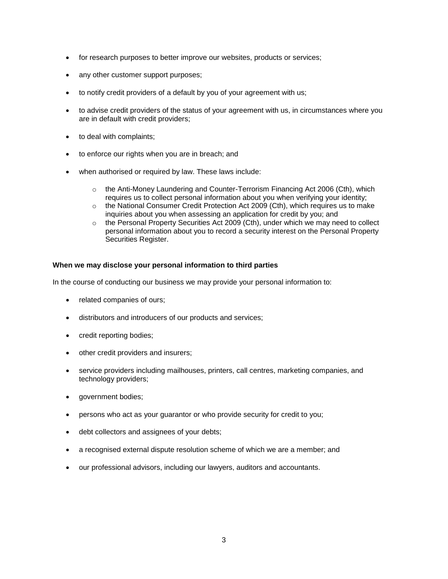- for research purposes to better improve our websites, products or services;
- any other customer support purposes;
- to notify credit providers of a default by you of your agreement with us;
- to advise credit providers of the status of your agreement with us, in circumstances where you are in default with credit providers;
- to deal with complaints;
- to enforce our rights when you are in breach; and
- when authorised or required by law. These laws include:
	- $\circ$  the Anti-Money Laundering and Counter-Terrorism Financing Act 2006 (Cth), which requires us to collect personal information about you when verifying your identity;
	- $\circ$  the National Consumer Credit Protection Act 2009 (Cth), which requires us to make inquiries about you when assessing an application for credit by you; and
	- $\circ$  the Personal Property Securities Act 2009 (Cth), under which we may need to collect personal information about you to record a security interest on the Personal Property Securities Register.

# **When we may disclose your personal information to third parties**

In the course of conducting our business we may provide your personal information to:

- related companies of ours;
- distributors and introducers of our products and services;
- credit reporting bodies;
- other credit providers and insurers;
- service providers including mailhouses, printers, call centres, marketing companies, and technology providers;
- government bodies;
- persons who act as your guarantor or who provide security for credit to you;
- debt collectors and assignees of your debts;
- a recognised external dispute resolution scheme of which we are a member; and
- our professional advisors, including our lawyers, auditors and accountants.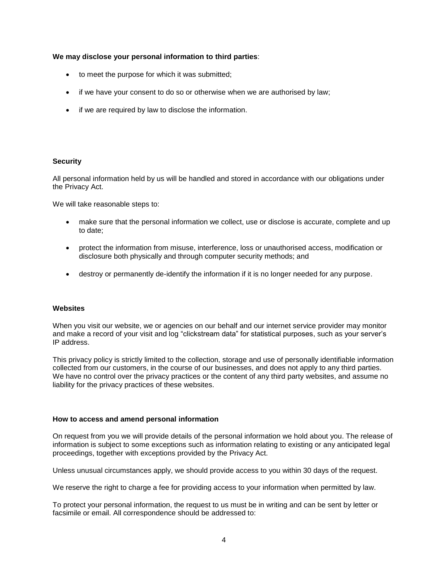# **We may disclose your personal information to third parties**:

- to meet the purpose for which it was submitted;
- if we have your consent to do so or otherwise when we are authorised by law;
- if we are required by law to disclose the information.

# **Security**

All personal information held by us will be handled and stored in accordance with our obligations under the Privacy Act.

We will take reasonable steps to:

- make sure that the personal information we collect, use or disclose is accurate, complete and up to date;
- protect the information from misuse, interference, loss or unauthorised access, modification or disclosure both physically and through computer security methods; and
- destroy or permanently de-identify the information if it is no longer needed for any purpose.

# **Websites**

When you visit our website, we or agencies on our behalf and our internet service provider may monitor and make a record of your visit and log "clickstream data" for statistical purposes, such as your server's IP address.

This privacy policy is strictly limited to the collection, storage and use of personally identifiable information collected from our customers, in the course of our businesses, and does not apply to any third parties. We have no control over the privacy practices or the content of any third party websites, and assume no liability for the privacy practices of these websites.

# **How to access and amend personal information**

On request from you we will provide details of the personal information we hold about you. The release of information is subject to some exceptions such as information relating to existing or any anticipated legal proceedings, together with exceptions provided by the Privacy Act.

Unless unusual circumstances apply, we should provide access to you within 30 days of the request.

We reserve the right to charge a fee for providing access to your information when permitted by law.

To protect your personal information, the request to us must be in writing and can be sent by letter or facsimile or email. All correspondence should be addressed to: